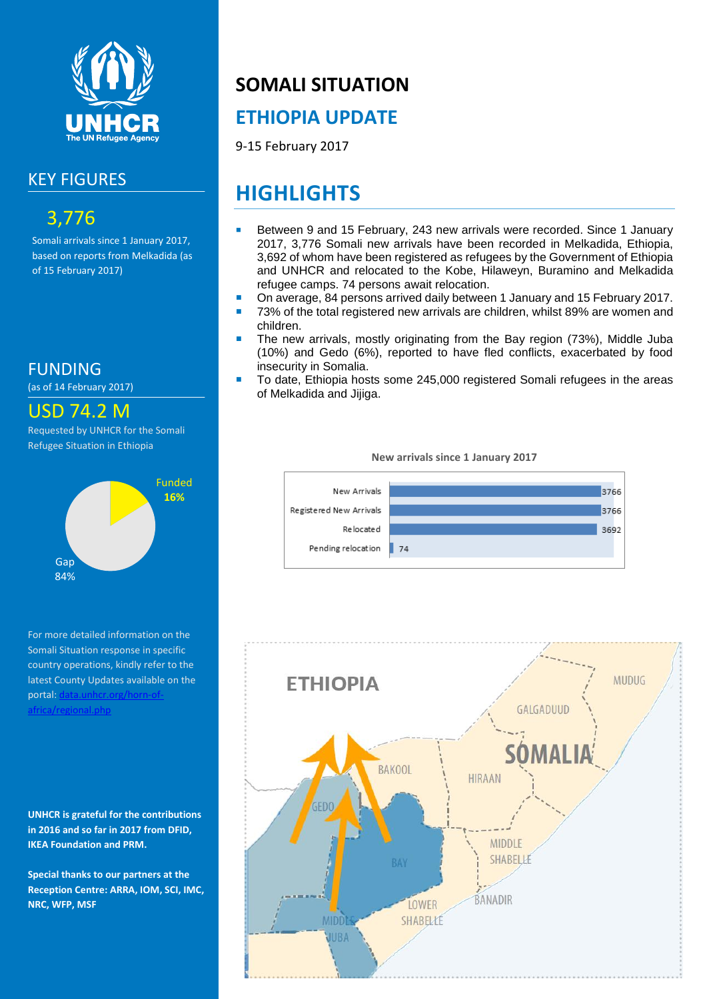

#### KEY FIGURES

### 3,776

Somali arrivals since 1 January 2017, based on reports from Melkadida (as of 15 February 2017)

FUNDING

(as of 14 February 2017)



Requested by UNHCR for the Somali Refugee Situation in Ethiopia



For more detailed information on the Somali Situation response in specific country operations, kindly refer to the latest County Updates available on the portal: [data.unhcr.org/horn-of](http://data.unhcr.org/SouthSudan/regional.php)[africa/regional.php](http://data.unhcr.org/SouthSudan/regional.php)

**UNHCR is grateful for the contributions in 2016 and so far in 2017 from DFID, IKEA Foundation and PRM.**

**Special thanks to our partners at the Reception Centre: ARRA, IOM, SCI, IMC, NRC, WFP, MSF**

# **SOMALI SITUATION**

#### **ETHIOPIA UPDATE**

9-15 February 2017

## **HIGHLIGHTS**

- Between 9 and 15 February, 243 new arrivals were recorded. Since 1 January 2017, 3,776 Somali new arrivals have been recorded in Melkadida, Ethiopia, 3,692 of whom have been registered as refugees by the Government of Ethiopia and UNHCR and relocated to the Kobe, Hilaweyn, Buramino and Melkadida refugee camps. 74 persons await relocation.
- On average, 84 persons arrived daily between 1 January and 15 February 2017.
- 73% of the total registered new arrivals are children, whilst 89% are women and children.
- The new arrivals, mostly originating from the Bay region (73%), Middle Juba (10%) and Gedo (6%), reported to have fled conflicts, exacerbated by food insecurity in Somalia.
- To date, Ethiopia hosts some 245,000 registered Somali refugees in the areas of Melkadida and Jijiga.

**New arrivals since 1 January 2017**